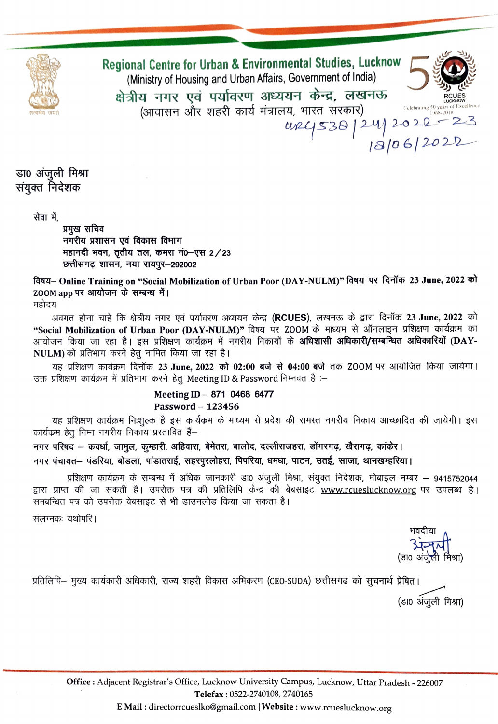

Regional Centre for Urban & Environmental Studies, Lucknow (Ministry of Housing and Urban Affairs, Government of India) क्षेत्रीय नगर एवं पर्यावरण अध्ययन केन्द्र, लखनऊ (आवासन और शहरी कार्य मंत्रालय, भारत सरकार)  $argC538 | 24 | 2022 - 23$ 

डा0 अंजुली मिश्रा संयुक्त निदेशक

सेवा में.

प्रमुख सचिव नगरीय प्रशासन एवं विकास विभाग महानदी भवन, तृतीय तल, कमरा नं0-एस 2/23 छत्तीसगढ़ शासन, नया रायपुर–292002

विषय- Online Training on "Social Mobilization of Urban Poor (DAY-NULM)" विषय पर दिनॉक 23 June, 2022 को ZOOM app पर आयोजन के सम्बन्ध में।

महोदय

अवगत होना चाहें कि क्षेत्रीय नगर एवं पर्यावरण अध्ययन केन्द्र (RCUES), लखनऊ के द्वारा दिनॉक 23 June, 2022 को "Social Mobilization of Urban Poor (DAY-NULM)" विषय पर ZOOM के माध्यम से ऑनलाइन प्रशिक्षण कार्यक्रम का आयोजन किया जा रहा है। इस प्रशिक्षण कार्यक्रम में नगरीय निकायों के अधिशासी अधिकारी/सम्बन्धित अधिकारियों (DAY-NULM) को प्रतिभाग करने हेतु नामित किया जा रहा है।

यह प्रशिक्षण कार्यक्रम दिनॉक 23 June, 2022 को 02:00 बजे से 04:00 बजे तक ZOOM पर आयोजित किया जायेगा। उक्त प्रशिक्षण कार्यक्रम में प्रतिभाग करने हेतू Meeting ID & Password निम्नवत है:-

## Meeting ID - 871 0468 6477 Password - 123456

यह प्रशिक्षण कार्यक्रम निःशुल्क है इस कार्यक्रम के माध्यम से प्रदेश की समस्त नगरीय निकाय आच्छादित की जायेगी। इस कार्यक्रम हेतु निम्न नगरीय निकाय प्रस्तावित हैं–

नगर परिषद – कवर्धा, जामुल, कुम्हारी, अहिवारा, बेमेतरा, बालोद, दल्लीराजहरा, डोंगरगढ़, खैरागढ़, कांकेर। नगर पंचायत- पंडरिया, बोडला, पांडातराई, सहरपूरलोहरा, पिपरिया, धमधा, पाटन, उतई, साजा, थानखम्हरिया।

प्रशिक्षण कार्यक्रम के सम्बन्ध में अधिक जानकारी डा0 अंजुली मिश्रा, संयुक्त निदेशक, मोबाइल नम्बर – 9415752044 द्वारा प्राप्त की जा सकती हैं। उपरोक्त पत्र की प्रतिलिपि केन्द्र की बेबसाइट www.rcueslucknow.org पर उपलब्ध है। समबन्धित पत्र को उपरोक्त वेबसाइट से भी डाउनलोड किया जा सकता है।

संलग्नकः यथोपरि ।

(डा० अंजेली मिश्रा)

प्रतिलिपि– मुख्य कार्यकारी अधिकारी, राज्य शहरी विकास अभिकरण (CEO-SUDA) छत्तीसगढ़ को सूचनार्थ प्रेषित। (डा0 अंजूली मिश्रा)